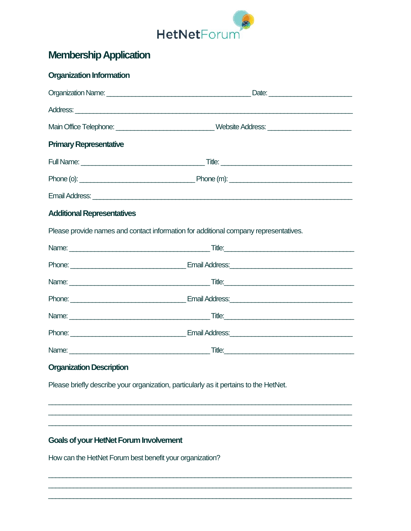

## **Membership Application**

| <b>Organization Information</b>                          |                                                                                                                                                                                                                                     |  |
|----------------------------------------------------------|-------------------------------------------------------------------------------------------------------------------------------------------------------------------------------------------------------------------------------------|--|
|                                                          |                                                                                                                                                                                                                                     |  |
|                                                          | Address: <u>Address:</u> Address: Address: Address: Address: Address: Address: Address: Address: Address: Address: Address: Address: Address: Address: Address: Address: Address: Address: Address: Address: Address: Address: Addr |  |
|                                                          |                                                                                                                                                                                                                                     |  |
| <b>Primary Representative</b>                            |                                                                                                                                                                                                                                     |  |
|                                                          |                                                                                                                                                                                                                                     |  |
|                                                          |                                                                                                                                                                                                                                     |  |
|                                                          |                                                                                                                                                                                                                                     |  |
| <b>Additional Representatives</b>                        |                                                                                                                                                                                                                                     |  |
|                                                          | Please provide names and contact information for additional company representatives.                                                                                                                                                |  |
|                                                          |                                                                                                                                                                                                                                     |  |
|                                                          |                                                                                                                                                                                                                                     |  |
|                                                          |                                                                                                                                                                                                                                     |  |
|                                                          |                                                                                                                                                                                                                                     |  |
|                                                          |                                                                                                                                                                                                                                     |  |
|                                                          |                                                                                                                                                                                                                                     |  |
|                                                          |                                                                                                                                                                                                                                     |  |
| <b>Organization Description</b>                          |                                                                                                                                                                                                                                     |  |
|                                                          | Please briefly describe your organization, particularly as it pertains to the HetNet.                                                                                                                                               |  |
|                                                          |                                                                                                                                                                                                                                     |  |
| <b>Goals of your HetNet Forum Involvement</b>            |                                                                                                                                                                                                                                     |  |
| How can the HetNet Forum best benefit your organization? |                                                                                                                                                                                                                                     |  |